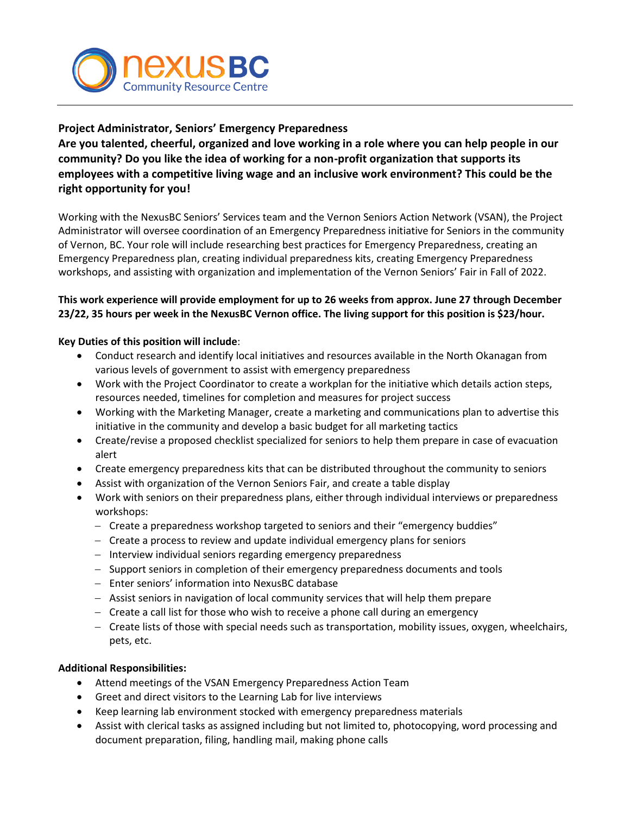

# **Project Administrator, Seniors' Emergency Preparedness**

**Are you talented, cheerful, organized and love working in a role where you can help people in our community? Do you like the idea of working for a non-profit organization that supports its employees with a competitive living wage and an inclusive work environment? This could be the right opportunity for you!**

Working with the NexusBC Seniors' Services team and the Vernon Seniors Action Network (VSAN), the Project Administrator will oversee coordination of an Emergency Preparedness initiative for Seniors in the community of Vernon, BC. Your role will include researching best practices for Emergency Preparedness, creating an Emergency Preparedness plan, creating individual preparedness kits, creating Emergency Preparedness workshops, and assisting with organization and implementation of the Vernon Seniors' Fair in Fall of 2022.

# **This work experience will provide employment for up to 26 weeks from approx. June 27 through December 23/22, 35 hours per week in the NexusBC Vernon office. The living support for this position is \$23/hour.**

# **Key Duties of this position will include**:

- Conduct research and identify local initiatives and resources available in the North Okanagan from various levels of government to assist with emergency preparedness
- Work with the Project Coordinator to create a workplan for the initiative which details action steps, resources needed, timelines for completion and measures for project success
- Working with the Marketing Manager, create a marketing and communications plan to advertise this initiative in the community and develop a basic budget for all marketing tactics
- Create/revise a proposed checklist specialized for seniors to help them prepare in case of evacuation alert
- Create emergency preparedness kits that can be distributed throughout the community to seniors
- Assist with organization of the Vernon Seniors Fair, and create a table display
- Work with seniors on their preparedness plans, either through individual interviews or preparedness workshops:
	- − Create a preparedness workshop targeted to seniors and their "emergency buddies"
	- − Create a process to review and update individual emergency plans for seniors
	- − Interview individual seniors regarding emergency preparedness
	- − Support seniors in completion of their emergency preparedness documents and tools
	- − Enter seniors' information into NexusBC database
	- − Assist seniors in navigation of local community services that will help them prepare
	- − Create a call list for those who wish to receive a phone call during an emergency
	- − Create lists of those with special needs such as transportation, mobility issues, oxygen, wheelchairs, pets, etc.

# **Additional Responsibilities:**

- Attend meetings of the VSAN Emergency Preparedness Action Team
- Greet and direct visitors to the Learning Lab for live interviews
- Keep learning lab environment stocked with emergency preparedness materials
- Assist with clerical tasks as assigned including but not limited to, photocopying, word processing and document preparation, filing, handling mail, making phone calls